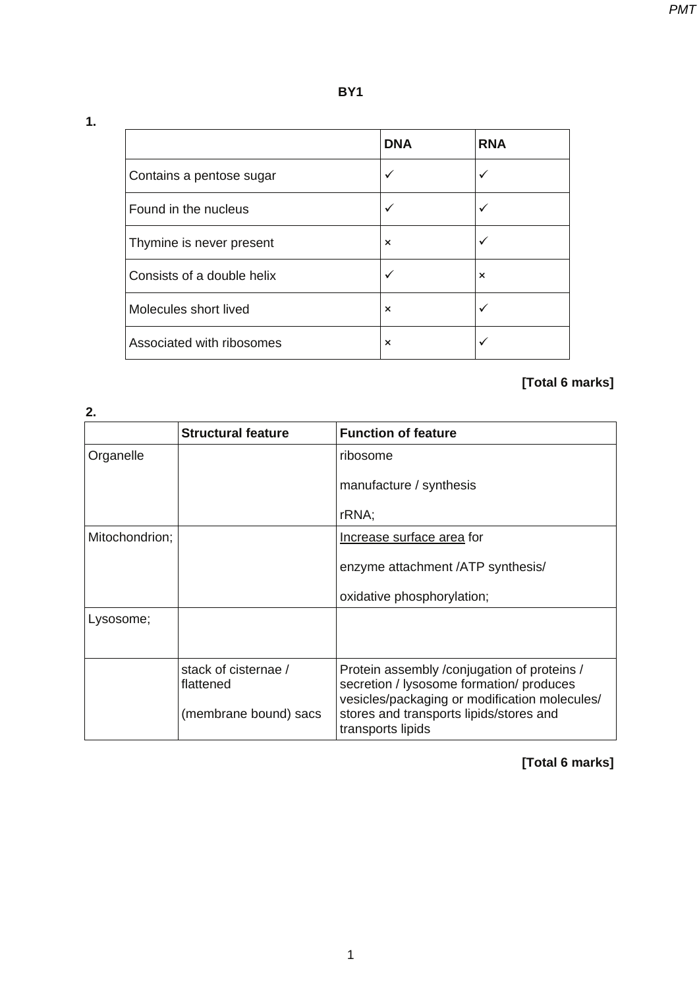*PMT*

**1.** 

|                            | <b>DNA</b>                | <b>RNA</b>                |
|----------------------------|---------------------------|---------------------------|
| Contains a pentose sugar   | ✓                         | ✓                         |
| Found in the nucleus       | ✓                         |                           |
| Thymine is never present   | $\boldsymbol{\mathsf{x}}$ | ✓                         |
| Consists of a double helix | ✓                         | $\boldsymbol{\mathsf{x}}$ |
| Molecules short lived      | $\boldsymbol{\mathsf{x}}$ | ✓                         |
| Associated with ribosomes  | $\boldsymbol{\mathsf{x}}$ |                           |

## **[Total 6 marks]**

| 2.             |                                                            |                                                                                                                                                                                                           |  |  |  |
|----------------|------------------------------------------------------------|-----------------------------------------------------------------------------------------------------------------------------------------------------------------------------------------------------------|--|--|--|
|                | <b>Structural feature</b>                                  | <b>Function of feature</b>                                                                                                                                                                                |  |  |  |
| Organelle      |                                                            | ribosome                                                                                                                                                                                                  |  |  |  |
|                |                                                            | manufacture / synthesis                                                                                                                                                                                   |  |  |  |
|                |                                                            | rRNA;                                                                                                                                                                                                     |  |  |  |
| Mitochondrion; |                                                            | Increase surface area for                                                                                                                                                                                 |  |  |  |
|                |                                                            | enzyme attachment /ATP synthesis/                                                                                                                                                                         |  |  |  |
|                |                                                            | oxidative phosphorylation;                                                                                                                                                                                |  |  |  |
| Lysosome;      |                                                            |                                                                                                                                                                                                           |  |  |  |
|                | stack of cisternae /<br>flattened<br>(membrane bound) sacs | Protein assembly / conjugation of proteins /<br>secretion / lysosome formation/ produces<br>vesicles/packaging or modification molecules/<br>stores and transports lipids/stores and<br>transports lipids |  |  |  |

## **[Total 6 marks]**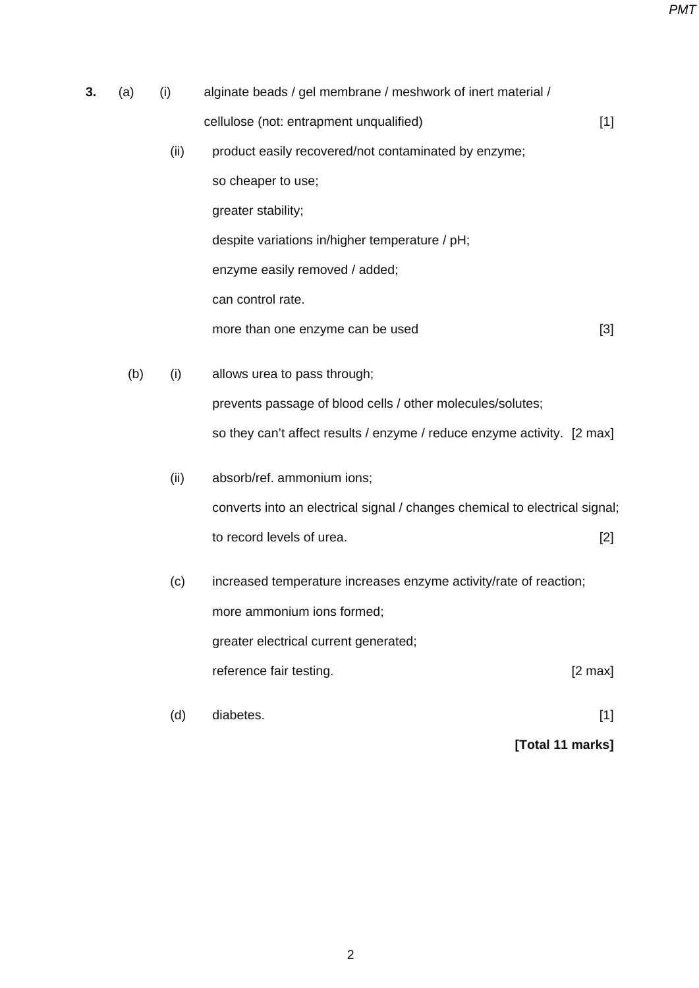*PMT*

| 3. | (a) | (i)  | alginate beads / gel membrane / meshwork of inert material /                |                   |  |
|----|-----|------|-----------------------------------------------------------------------------|-------------------|--|
|    |     |      | cellulose (not: entrapment unqualified)                                     | $[1]$             |  |
|    |     | (ii) | product easily recovered/not contaminated by enzyme;                        |                   |  |
|    |     |      | so cheaper to use;                                                          |                   |  |
|    |     |      | greater stability;                                                          |                   |  |
|    |     |      | despite variations in/higher temperature / pH;                              |                   |  |
|    |     |      | enzyme easily removed / added;                                              |                   |  |
|    |     |      | can control rate.                                                           |                   |  |
|    |     |      | more than one enzyme can be used                                            | $[3]$             |  |
|    | (b) | (i)  | allows urea to pass through;                                                |                   |  |
|    |     |      | prevents passage of blood cells / other molecules/solutes;                  |                   |  |
|    |     |      | so they can't affect results / enzyme / reduce enzyme activity. [2 max]     |                   |  |
|    |     | (ii) | absorb/ref. ammonium ions;                                                  |                   |  |
|    |     |      | converts into an electrical signal / changes chemical to electrical signal; |                   |  |
|    |     |      | to record levels of urea.                                                   | $[2]$             |  |
|    |     | (c)  | increased temperature increases enzyme activity/rate of reaction;           |                   |  |
|    |     |      | more ammonium ions formed;                                                  |                   |  |
|    |     |      | greater electrical current generated;                                       |                   |  |
|    |     |      | reference fair testing.                                                     | $[2 \text{ max}]$ |  |
|    |     | (d)  | diabetes.                                                                   | $[1]$             |  |
|    |     |      |                                                                             | [Total 11 marks]  |  |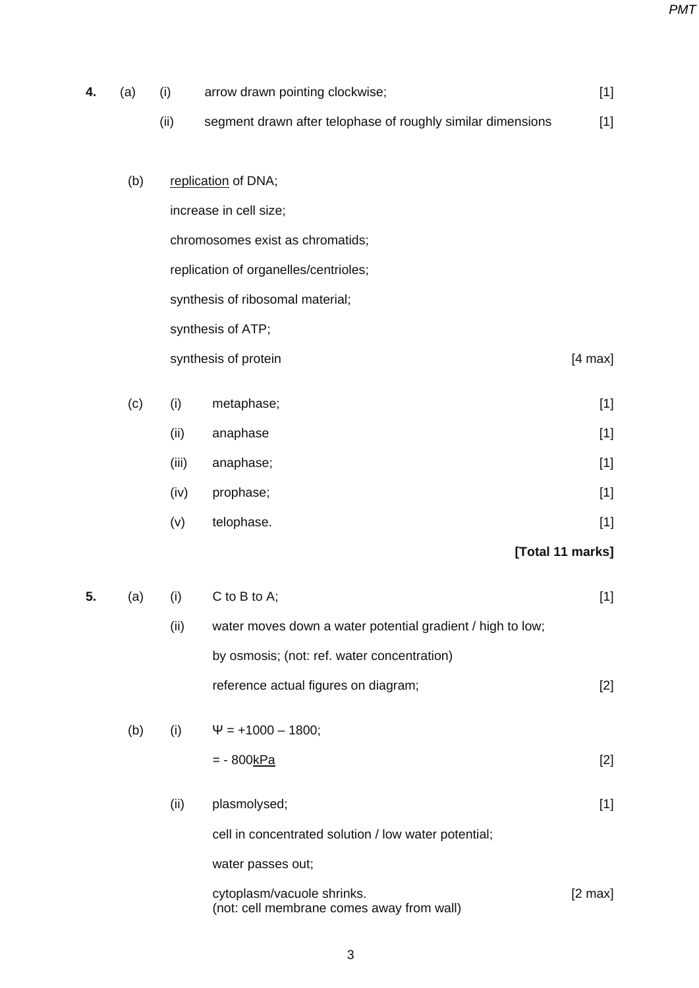*PMT*

| 4. | (a) | (i)       | arrow drawn pointing clockwise;                             | $[1]$             |
|----|-----|-----------|-------------------------------------------------------------|-------------------|
|    |     | (ii)      | segment drawn after telophase of roughly similar dimensions | $[1]$             |
|    |     |           |                                                             |                   |
|    | (b) |           | replication of DNA;                                         |                   |
|    |     |           | increase in cell size;                                      |                   |
|    |     |           | chromosomes exist as chromatids;                            |                   |
|    |     |           | replication of organelles/centrioles;                       |                   |
|    |     |           | synthesis of ribosomal material;                            |                   |
|    |     |           | synthesis of ATP;                                           |                   |
|    |     |           | synthesis of protein                                        | $[4 \text{ max}]$ |
|    | (c) | (i)       | metaphase;                                                  | $[1]$             |
|    |     | (ii)      | anaphase                                                    | $[1]$             |
|    |     | (iii)     | anaphase;                                                   | $[1]$             |
|    |     | (iv)      | prophase;                                                   | $[1]$             |
|    |     | (v)       | telophase.                                                  | $[1]$             |
|    |     |           |                                                             | [Total 11 marks]  |
| 5. |     | $(a)$ (i) | $C$ to B to A;                                              | $[1]$             |
|    |     | (ii)      | water moves down a water potential gradient / high to low;  |                   |
|    |     |           | by osmosis; (not: ref. water concentration)                 |                   |
|    |     |           | reference actual figures on diagram;                        | $[2]$             |
|    | (b) | (i)       | $\Psi$ = +1000 - 1800;                                      |                   |
|    |     |           | = - 800 <u>kPa</u>                                          | $[2]$             |

(ii) plasmolysed; [1]

cell in concentrated solution / low water potential;

water passes out;

| cytoplasm/vacuole shrinks.                | $\sqrt{2}$ max |
|-------------------------------------------|----------------|
| (not: cell membrane comes away from wall) |                |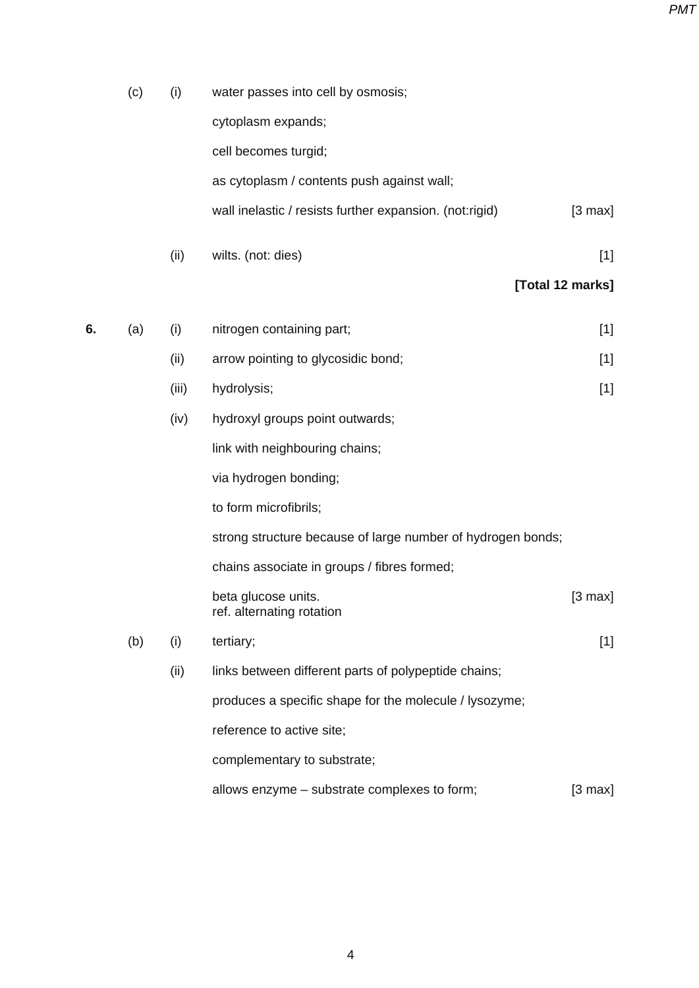|    | (c) | (i)   | water passes into cell by osmosis;                          |                   |
|----|-----|-------|-------------------------------------------------------------|-------------------|
|    |     |       | cytoplasm expands;                                          |                   |
|    |     |       | cell becomes turgid;                                        |                   |
|    |     |       | as cytoplasm / contents push against wall;                  |                   |
|    |     |       | wall inelastic / resists further expansion. (not:rigid)     | $[3 \text{ max}]$ |
|    |     | (ii)  | wilts. (not: dies)                                          | $[1]$             |
|    |     |       |                                                             | [Total 12 marks]  |
| 6. | (a) | (i)   | nitrogen containing part;                                   | $[1]$             |
|    |     | (ii)  | arrow pointing to glycosidic bond;                          | $[1]$             |
|    |     | (iii) | hydrolysis;                                                 | $[1]$             |
|    |     | (iv)  | hydroxyl groups point outwards;                             |                   |
|    |     |       | link with neighbouring chains;                              |                   |
|    |     |       | via hydrogen bonding;                                       |                   |
|    |     |       | to form microfibrils;                                       |                   |
|    |     |       | strong structure because of large number of hydrogen bonds; |                   |
|    |     |       | chains associate in groups / fibres formed;                 |                   |
|    |     |       | beta glucose units<br>ref. alternating rotation             | $[3 \text{ max}]$ |
|    | (b) | (i)   | tertiary;                                                   | $[1]$             |
|    |     | (ii)  | links between different parts of polypeptide chains;        |                   |
|    |     |       | produces a specific shape for the molecule / lysozyme;      |                   |
|    |     |       | reference to active site;                                   |                   |
|    |     |       | complementary to substrate;                                 |                   |
|    |     |       | allows enzyme - substrate complexes to form;                | $[3 \text{ max}]$ |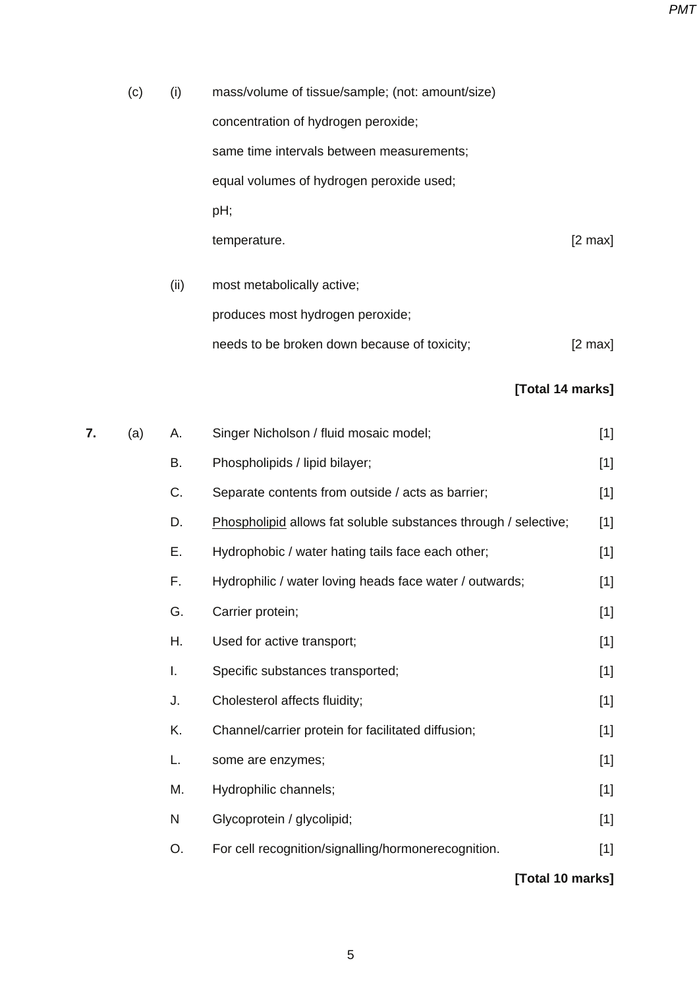| (c) | (i)  | mass/volume of tissue/sample; (not: amount/size)               |                   |  |
|-----|------|----------------------------------------------------------------|-------------------|--|
|     |      | concentration of hydrogen peroxide;                            |                   |  |
|     |      | same time intervals between measurements;                      |                   |  |
|     |      | equal volumes of hydrogen peroxide used;                       |                   |  |
|     |      | pH;                                                            |                   |  |
|     |      | temperature.                                                   | $ 2 \text{ max} $ |  |
|     | (ii) | most metabolically active;<br>produces most hydrogen peroxide; |                   |  |
|     |      | needs to be broken down because of toxicity;                   | 2 max             |  |
|     |      |                                                                |                   |  |

## **[Total 14 marks]**

| 7. | (a) | А. | Singer Nicholson / fluid mosaic model;                          | $[1]$ |
|----|-----|----|-----------------------------------------------------------------|-------|
|    |     | В. | Phospholipids / lipid bilayer;                                  | $[1]$ |
|    |     | C. | Separate contents from outside / acts as barrier;               | $[1]$ |
|    |     | D. | Phospholipid allows fat soluble substances through / selective; | $[1]$ |
|    |     | Ε. | Hydrophobic / water hating tails face each other;               | $[1]$ |
|    |     | F. | Hydrophilic / water loving heads face water / outwards;         | $[1]$ |
|    |     | G. | Carrier protein;                                                | $[1]$ |
|    |     | Н. | Used for active transport;                                      | $[1]$ |
|    |     | I. | Specific substances transported;                                | $[1]$ |
|    |     | J. | Cholesterol affects fluidity;                                   | $[1]$ |
|    |     | Κ. | Channel/carrier protein for facilitated diffusion;              | $[1]$ |
|    |     | L. | some are enzymes;                                               | $[1]$ |
|    |     | М. | Hydrophilic channels;                                           | $[1]$ |
|    |     | N  | Glycoprotein / glycolipid;                                      | $[1]$ |
|    |     | О. | For cell recognition/signalling/hormonerecognition.             | $[1]$ |
|    |     |    |                                                                 |       |

## **[Total 10 marks]**